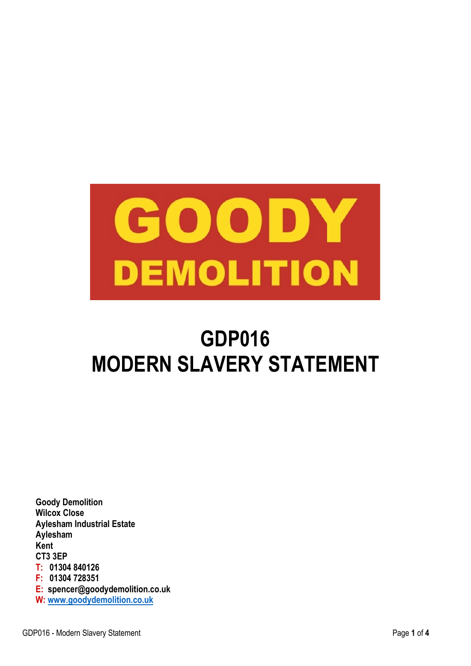

# **GDP016 MODERN SLAVERY STATEMENT**

**Goody Demolition Wilcox Close Aylesham Industrial Estate Aylesham Kent CT3 3EP T: 01304 840126 F: 01304 728351 E: spencer@goodydemolition.co.uk W: [www.goodydemolition.co.uk](http://www.goodydemolition.co.uk/)**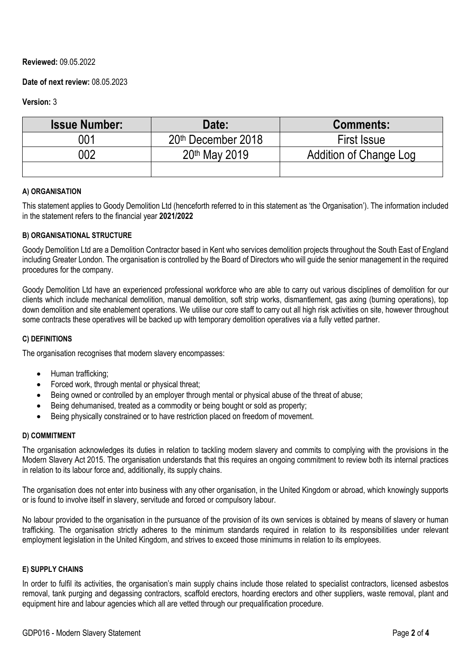# **Reviewed:** 09.05.2022

# **Date of next review:** 08.05.2023

# **Version:** 3

| <b>Issue Number:</b> | Date:              | <b>Comments:</b>              |
|----------------------|--------------------|-------------------------------|
| 001                  | 20th December 2018 | <b>First Issue</b>            |
| 002                  | 20th May 2019      | <b>Addition of Change Log</b> |
|                      |                    |                               |

## **A) ORGANISATION**

This statement applies to Goody Demolition Ltd (henceforth referred to in this statement as 'the Organisation'). The information included in the statement refers to the financial year **2021/2022**

# **B) ORGANISATIONAL STRUCTURE**

Goody Demolition Ltd are a Demolition Contractor based in Kent who services demolition projects throughout the South East of England including Greater London. The organisation is controlled by the Board of Directors who will guide the senior management in the required procedures for the company.

Goody Demolition Ltd have an experienced professional workforce who are able to carry out various disciplines of demolition for our clients which include mechanical demolition, manual demolition, soft strip works, dismantlement, gas axing (burning operations), top down demolition and site enablement operations. We utilise our core staff to carry out all high risk activities on site, however throughout some contracts these operatives will be backed up with temporary demolition operatives via a fully vetted partner.

## **C) DEFINITIONS**

The organisation recognises that modern slavery encompasses:

- Human trafficking;
- Forced work, through mental or physical threat;
- Being owned or controlled by an employer through mental or physical abuse of the threat of abuse;
- Being dehumanised, treated as a commodity or being bought or sold as property;
- Being physically constrained or to have restriction placed on freedom of movement.

## **D) COMMITMENT**

The organisation acknowledges its duties in relation to tackling modern slavery and commits to complying with the provisions in the Modern Slavery Act 2015. The organisation understands that this requires an ongoing commitment to review both its internal practices in relation to its labour force and, additionally, its supply chains.

The organisation does not enter into business with any other organisation, in the United Kingdom or abroad, which knowingly supports or is found to involve itself in slavery, servitude and forced or compulsory labour.

No labour provided to the organisation in the pursuance of the provision of its own services is obtained by means of slavery or human trafficking. The organisation strictly adheres to the minimum standards required in relation to its responsibilities under relevant employment legislation in the United Kingdom, and strives to exceed those minimums in relation to its employees.

## **E) SUPPLY CHAINS**

In order to fulfil its activities, the organisation's main supply chains include those related to specialist contractors, licensed asbestos removal, tank purging and degassing contractors, scaffold erectors, hoarding erectors and other suppliers, waste removal, plant and equipment hire and labour agencies which all are vetted through our prequalification procedure.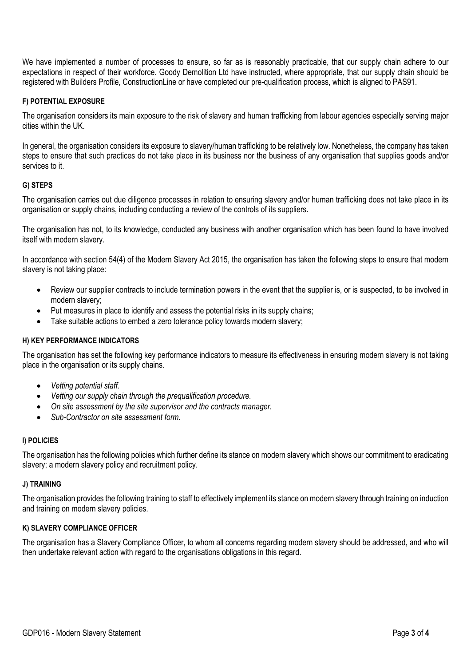We have implemented a number of processes to ensure, so far as is reasonably practicable, that our supply chain adhere to our expectations in respect of their workforce. Goody Demolition Ltd have instructed, where appropriate, that our supply chain should be registered with Builders Profile, ConstructionLine or have completed our pre-qualification process, which is aligned to PAS91.

#### **F) POTENTIAL EXPOSURE**

The organisation considers its main exposure to the risk of slavery and human trafficking from labour agencies especially serving major cities within the UK.

In general, the organisation considers its exposure to slavery/human trafficking to be relatively low. Nonetheless, the company has taken steps to ensure that such practices do not take place in its business nor the business of any organisation that supplies goods and/or services to it.

## **G) STEPS**

The organisation carries out due diligence processes in relation to ensuring slavery and/or human trafficking does not take place in its organisation or supply chains, including conducting a review of the controls of its suppliers.

The organisation has not, to its knowledge, conducted any business with another organisation which has been found to have involved itself with modern slavery.

In accordance with section 54(4) of the Modern Slavery Act 2015, the organisation has taken the following steps to ensure that modern slavery is not taking place:

- Review our supplier contracts to include termination powers in the event that the supplier is, or is suspected, to be involved in modern slavery;
- Put measures in place to identify and assess the potential risks in its supply chains;
- Take suitable actions to embed a zero tolerance policy towards modern slavery;

#### **H) KEY PERFORMANCE INDICATORS**

The organisation has set the following key performance indicators to measure its effectiveness in ensuring modern slavery is not taking place in the organisation or its supply chains.

- *Vetting potential staff.*
- *Vetting our supply chain through the prequalification procedure.*
- *On site assessment by the site supervisor and the contracts manager.*
- *Sub-Contractor on site assessment form.*

## **I) POLICIES**

The organisation has the following policies which further define its stance on modern slavery which shows our commitment to eradicating slavery; a modern slavery policy and recruitment policy.

#### **J) TRAINING**

The organisation provides the following training to staff to effectively implement its stance on modern slavery through training on induction and training on modern slavery policies.

## **K) SLAVERY COMPLIANCE OFFICER**

The organisation has a Slavery Compliance Officer, to whom all concerns regarding modern slavery should be addressed, and who will then undertake relevant action with regard to the organisations obligations in this regard.